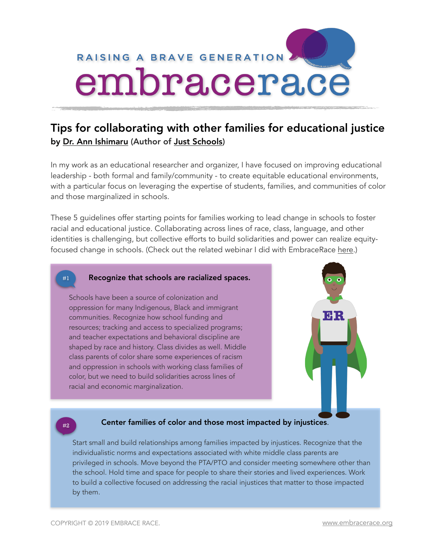

# Tips for collaborating with other families for educational justice by [Dr. Ann Ishimaru](https://education.uw.edu/people/faculty/aishi) (Author of [Just Schools](https://www.tcpress.com/just-schools-9780807763193))

In my work as an educational researcher and organizer, I have focused on improving educational leadership - both formal and family/community - to create equitable educational environments, with a particular focus on leveraging the expertise of students, families, and communities of color and those marginalized in schools.

These 5 guidelines offer starting points for families working to lead change in schools to foster racial and educational justice. Collaborating across lines of race, class, language, and other identities is challenging, but collective efforts to build solidarities and power can realize equityfocused change in schools. (Check out the related webinar I did with EmbraceRace [here.](http://www.embracerace.org/resources/from-best-to-next-practices-in-family-engagement-for-educational-justice))

## #1 Recognize that schools are racialized spaces.

Schools have been a source of colonization and oppression for many Indigenous, Black and immigrant communities. Recognize how school funding and resources; tracking and access to specialized programs; and teacher expectations and behavioral discipline are shaped by race and history. Class divides as well. Middle class parents of color share some experiences of racism and oppression in schools with working class families of color, but we need to build solidarities across lines of racial and economic marginalization.



# **EXECUTE:** Extert families of color and those most impacted by injustices.

Start small and build relationships among families impacted by injustices. Recognize that the individualistic norms and expectations associated with white middle class parents are privileged in schools. Move beyond the PTA/PTO and consider meeting somewhere other than the school. Hold time and space for people to share their stories and lived experiences. Work to build a collective focused on addressing the racial injustices that matter to those impacted by them.